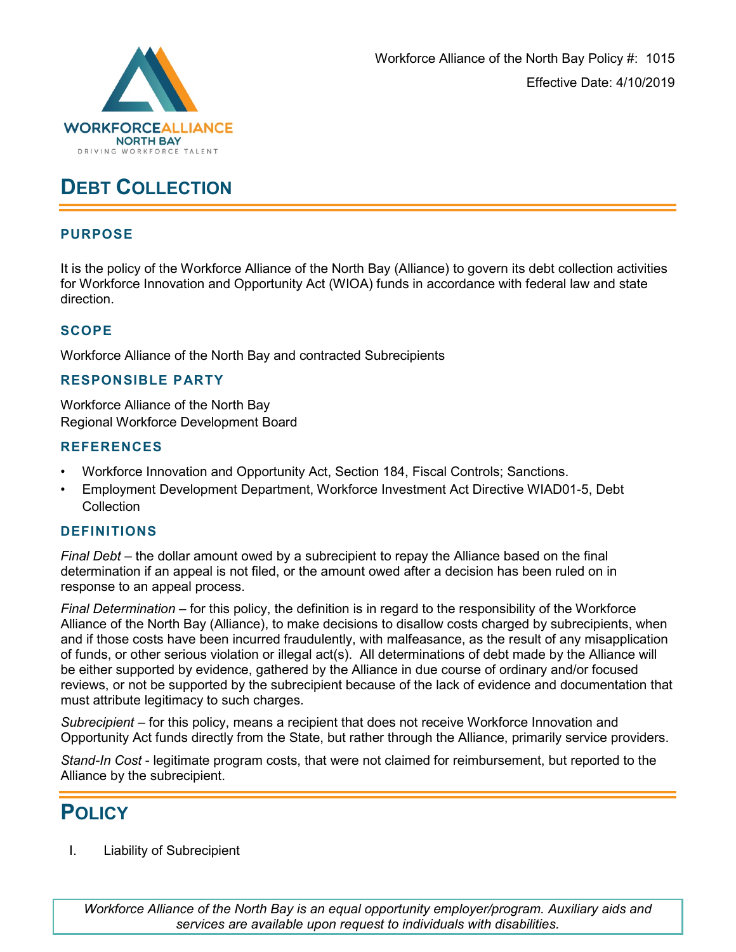

# **DEBT COLLECTION**

# **PURPOSE**

It is the policy of the Workforce Alliance of the North Bay (Alliance) to govern its debt collection activities for Workforce Innovation and Opportunity Act (WIOA) funds in accordance with federal law and state direction.

## **SCOPE**

Workforce Alliance of the North Bay and contracted Subrecipients

## **RESPONSIBLE PARTY**

Workforce Alliance of the North Bay Regional Workforce Development Board

#### **REFERENCES**

- Workforce Innovation and Opportunity Act, Section 184, Fiscal Controls; Sanctions.
- Employment Development Department, Workforce Investment Act Directive WIAD01-5, Debt **Collection**

#### **DEFINITIONS**

*Final Debt* – the dollar amount owed by a subrecipient to repay the Alliance based on the final determination if an appeal is not filed, or the amount owed after a decision has been ruled on in response to an appeal process.

*Final Determination* – for this policy, the definition is in regard to the responsibility of the Workforce Alliance of the North Bay (Alliance), to make decisions to disallow costs charged by subrecipients, when and if those costs have been incurred fraudulently, with malfeasance, as the result of any misapplication of funds, or other serious violation or illegal act(s). All determinations of debt made by the Alliance will be either supported by evidence, gathered by the Alliance in due course of ordinary and/or focused reviews, or not be supported by the subrecipient because of the lack of evidence and documentation that must attribute legitimacy to such charges.

*Subrecipient* – for this policy, means a recipient that does not receive Workforce Innovation and Opportunity Act funds directly from the State, but rather through the Alliance, primarily service providers.

*Stand-In Cost* - legitimate program costs, that were not claimed for reimbursement, but reported to the Alliance by the subrecipient.

# **POLICY**

I. Liability of Subrecipient

*Workforce Alliance of the North Bay is an equal opportunity employer/program. Auxiliary aids and services are available upon request to individuals with disabilities.*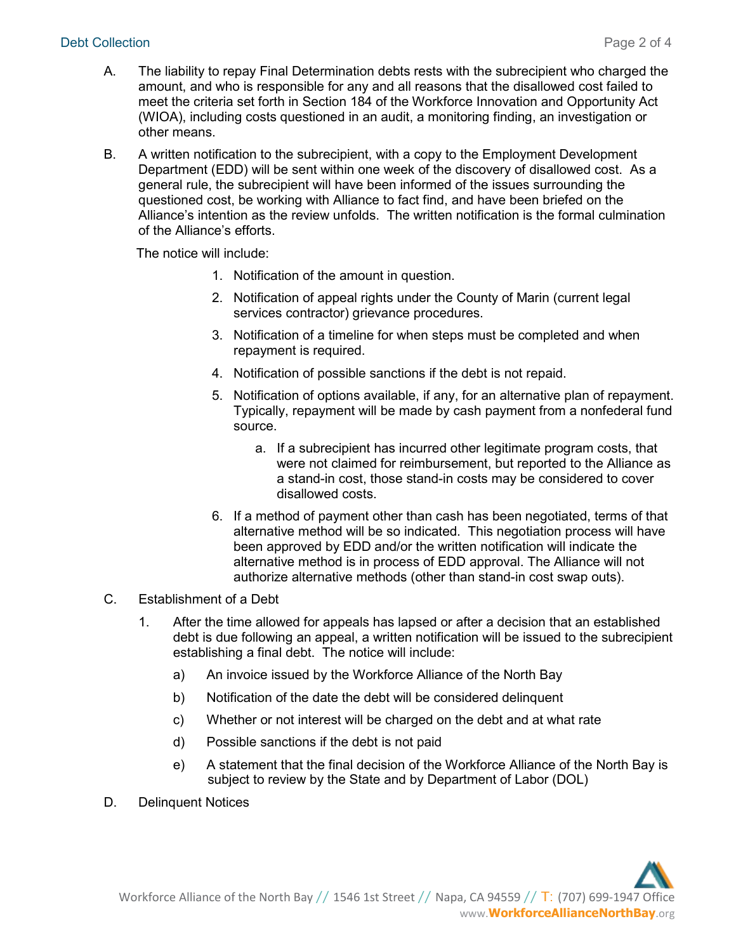#### Debt Collection Page 2 of 4

- A. The liability to repay Final Determination debts rests with the subrecipient who charged the amount, and who is responsible for any and all reasons that the disallowed cost failed to meet the criteria set forth in Section 184 of the Workforce Innovation and Opportunity Act (WIOA), including costs questioned in an audit, a monitoring finding, an investigation or other means.
- B. A written notification to the subrecipient, with a copy to the Employment Development Department (EDD) will be sent within one week of the discovery of disallowed cost. As a general rule, the subrecipient will have been informed of the issues surrounding the questioned cost, be working with Alliance to fact find, and have been briefed on the Alliance's intention as the review unfolds. The written notification is the formal culmination of the Alliance's efforts.

The notice will include:

- 1. Notification of the amount in question.
- 2. Notification of appeal rights under the County of Marin (current legal services contractor) grievance procedures.
- 3. Notification of a timeline for when steps must be completed and when repayment is required.
- 4. Notification of possible sanctions if the debt is not repaid.
- 5. Notification of options available, if any, for an alternative plan of repayment. Typically, repayment will be made by cash payment from a nonfederal fund source.
	- a. If a subrecipient has incurred other legitimate program costs, that were not claimed for reimbursement, but reported to the Alliance as a stand-in cost, those stand-in costs may be considered to cover disallowed costs.
- 6. If a method of payment other than cash has been negotiated, terms of that alternative method will be so indicated. This negotiation process will have been approved by EDD and/or the written notification will indicate the alternative method is in process of EDD approval. The Alliance will not authorize alternative methods (other than stand-in cost swap outs).
- C. Establishment of a Debt
	- 1. After the time allowed for appeals has lapsed or after a decision that an established debt is due following an appeal, a written notification will be issued to the subrecipient establishing a final debt. The notice will include:
		- a) An invoice issued by the Workforce Alliance of the North Bay
		- b) Notification of the date the debt will be considered delinquent
		- c) Whether or not interest will be charged on the debt and at what rate
		- d) Possible sanctions if the debt is not paid
		- e) A statement that the final decision of the Workforce Alliance of the North Bay is subject to review by the State and by Department of Labor (DOL)
- D. Delinquent Notices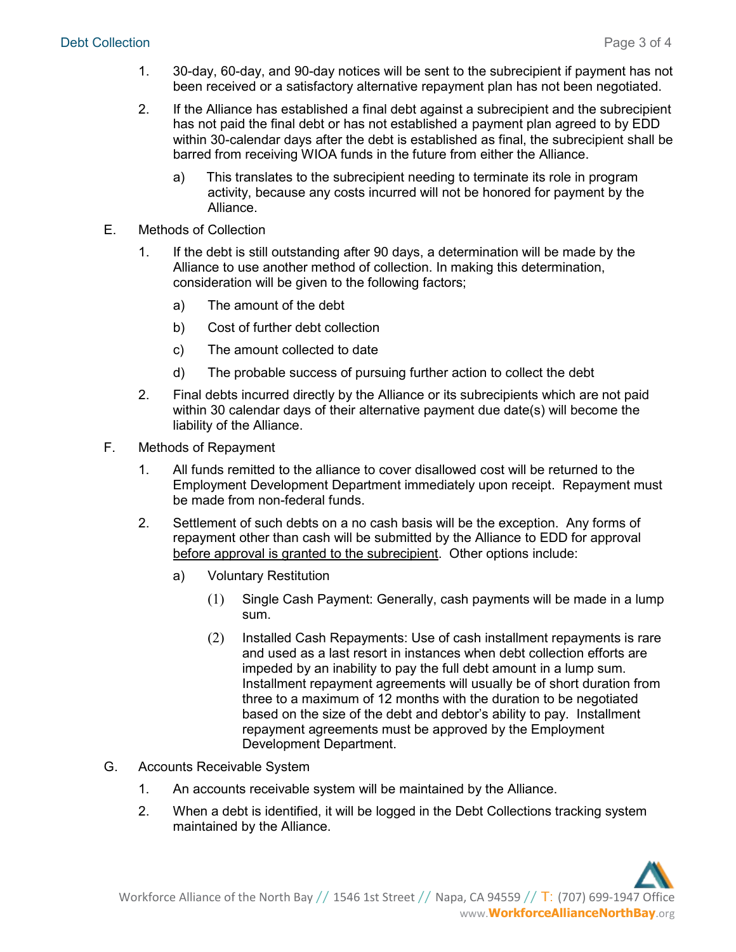- 1. 30-day, 60-day, and 90-day notices will be sent to the subrecipient if payment has not been received or a satisfactory alternative repayment plan has not been negotiated.
- 2. If the Alliance has established a final debt against a subrecipient and the subrecipient has not paid the final debt or has not established a payment plan agreed to by EDD within 30-calendar days after the debt is established as final, the subrecipient shall be barred from receiving WIOA funds in the future from either the Alliance.
	- a) This translates to the subrecipient needing to terminate its role in program activity, because any costs incurred will not be honored for payment by the Alliance.
- E. Methods of Collection
	- 1. If the debt is still outstanding after 90 days, a determination will be made by the Alliance to use another method of collection. In making this determination, consideration will be given to the following factors;
		- a) The amount of the debt
		- b) Cost of further debt collection
		- c) The amount collected to date
		- d) The probable success of pursuing further action to collect the debt
	- 2. Final debts incurred directly by the Alliance or its subrecipients which are not paid within 30 calendar days of their alternative payment due date(s) will become the liability of the Alliance.
- F. Methods of Repayment
	- 1. All funds remitted to the alliance to cover disallowed cost will be returned to the Employment Development Department immediately upon receipt. Repayment must be made from non-federal funds.
	- 2. Settlement of such debts on a no cash basis will be the exception. Any forms of repayment other than cash will be submitted by the Alliance to EDD for approval before approval is granted to the subrecipient. Other options include:
		- a) Voluntary Restitution
			- (1) Single Cash Payment: Generally, cash payments will be made in a lump sum.
			- (2) Installed Cash Repayments: Use of cash installment repayments is rare and used as a last resort in instances when debt collection efforts are impeded by an inability to pay the full debt amount in a lump sum. Installment repayment agreements will usually be of short duration from three to a maximum of 12 months with the duration to be negotiated based on the size of the debt and debtor's ability to pay. Installment repayment agreements must be approved by the Employment Development Department.
- G. Accounts Receivable System
	- 1. An accounts receivable system will be maintained by the Alliance.
	- 2. When a debt is identified, it will be logged in the Debt Collections tracking system maintained by the Alliance.